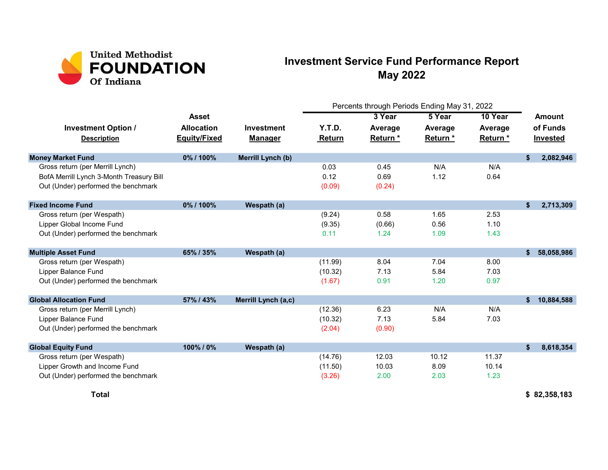

## Investment Service Fund Performance Report May 2022

|                                                  |                                          |                                     | Percents through Periods Ending May 31, 2022 |                     |                    |                     |                                       |            |
|--------------------------------------------------|------------------------------------------|-------------------------------------|----------------------------------------------|---------------------|--------------------|---------------------|---------------------------------------|------------|
|                                                  | <b>Asset</b>                             |                                     |                                              | 3 Year              | 5 Year             | 10 Year             | Amount<br>of Funds<br><b>Invested</b> |            |
| <b>Investment Option /</b><br><b>Description</b> | <b>Allocation</b><br><b>Equity/Fixed</b> | <b>Investment</b><br><b>Manager</b> | Y.T.D.<br>Return                             | Average<br>Return * | Average<br>Return* | Average<br>Return * |                                       |            |
| <b>Money Market Fund</b>                         | 0%/100%                                  | Merrill Lynch (b)                   |                                              |                     |                    |                     | \$                                    | 2,082,946  |
| Gross return (per Merrill Lynch)                 |                                          |                                     | 0.03                                         | 0.45                | N/A                | N/A                 |                                       |            |
| BofA Merrill Lynch 3-Month Treasury Bill         |                                          |                                     | 0.12                                         | 0.69                | 1.12               | 0.64                |                                       |            |
| Out (Under) performed the benchmark              |                                          |                                     | (0.09)                                       | (0.24)              |                    |                     |                                       |            |
| <b>Fixed Income Fund</b>                         | 0%/100%                                  | Wespath (a)                         |                                              |                     |                    |                     | \$                                    | 2,713,309  |
| Gross return (per Wespath)                       |                                          |                                     | (9.24)                                       | 0.58                | 1.65               | 2.53                |                                       |            |
| Lipper Global Income Fund                        |                                          |                                     | (9.35)                                       | (0.66)              | 0.56               | 1.10                |                                       |            |
| Out (Under) performed the benchmark              |                                          |                                     | 0.11                                         | 1.24                | 1.09               | 1.43                |                                       |            |
| <b>Multiple Asset Fund</b>                       | 65% / 35%                                | Wespath (a)                         |                                              |                     |                    |                     | \$                                    | 58,058,986 |
| Gross return (per Wespath)                       |                                          |                                     | (11.99)                                      | 8.04                | 7.04               | 8.00                |                                       |            |
| Lipper Balance Fund                              |                                          |                                     | (10.32)                                      | 7.13                | 5.84               | 7.03                |                                       |            |
| Out (Under) performed the benchmark              |                                          |                                     | (1.67)                                       | 0.91                | 1.20               | 0.97                |                                       |            |
| <b>Global Allocation Fund</b>                    | 57% / 43%                                | Merrill Lynch (a,c)                 |                                              |                     |                    |                     | \$                                    | 10,884,588 |
| Gross return (per Merrill Lynch)                 |                                          |                                     | (12.36)                                      | 6.23                | N/A                | N/A                 |                                       |            |
| Lipper Balance Fund                              |                                          |                                     | (10.32)                                      | 7.13                | 5.84               | 7.03                |                                       |            |
| Out (Under) performed the benchmark              |                                          |                                     | (2.04)                                       | (0.90)              |                    |                     |                                       |            |
| <b>Global Equity Fund</b>                        | 100%/0%                                  | Wespath (a)                         |                                              |                     |                    |                     | \$                                    | 8,618,354  |
| Gross return (per Wespath)                       |                                          |                                     | (14.76)                                      | 12.03               | 10.12              | 11.37               |                                       |            |
| Lipper Growth and Income Fund                    |                                          |                                     | (11.50)                                      | 10.03               | 8.09               | 10.14               |                                       |            |
| Out (Under) performed the benchmark              |                                          |                                     | (3.26)                                       | 2.00                | 2.03               | 1.23                |                                       |            |

Total \$ 82,358,183